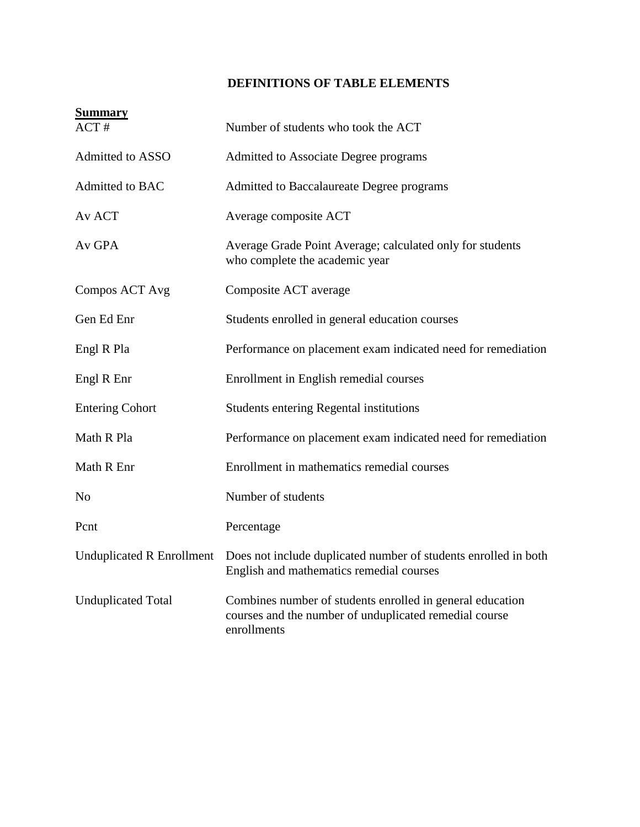## **DEFINITIONS OF TABLE ELEMENTS**

| <b>Summary</b><br>$ACT \#$       | Number of students who took the ACT                                                                                                |
|----------------------------------|------------------------------------------------------------------------------------------------------------------------------------|
| Admitted to ASSO                 | Admitted to Associate Degree programs                                                                                              |
| Admitted to BAC                  | Admitted to Baccalaureate Degree programs                                                                                          |
| Av ACT                           | Average composite ACT                                                                                                              |
| Av GPA                           | Average Grade Point Average; calculated only for students<br>who complete the academic year                                        |
| Compos ACT Avg                   | Composite ACT average                                                                                                              |
| Gen Ed Enr                       | Students enrolled in general education courses                                                                                     |
| Engl R Pla                       | Performance on placement exam indicated need for remediation                                                                       |
| Engl R Enr                       | Enrollment in English remedial courses                                                                                             |
| <b>Entering Cohort</b>           | <b>Students entering Regental institutions</b>                                                                                     |
| Math R Pla                       | Performance on placement exam indicated need for remediation                                                                       |
| Math R Enr                       | Enrollment in mathematics remedial courses                                                                                         |
| N <sub>o</sub>                   | Number of students                                                                                                                 |
| Pcnt                             | Percentage                                                                                                                         |
| <b>Unduplicated R Enrollment</b> | Does not include duplicated number of students enrolled in both<br>English and mathematics remedial courses                        |
| <b>Unduplicated Total</b>        | Combines number of students enrolled in general education<br>courses and the number of unduplicated remedial course<br>enrollments |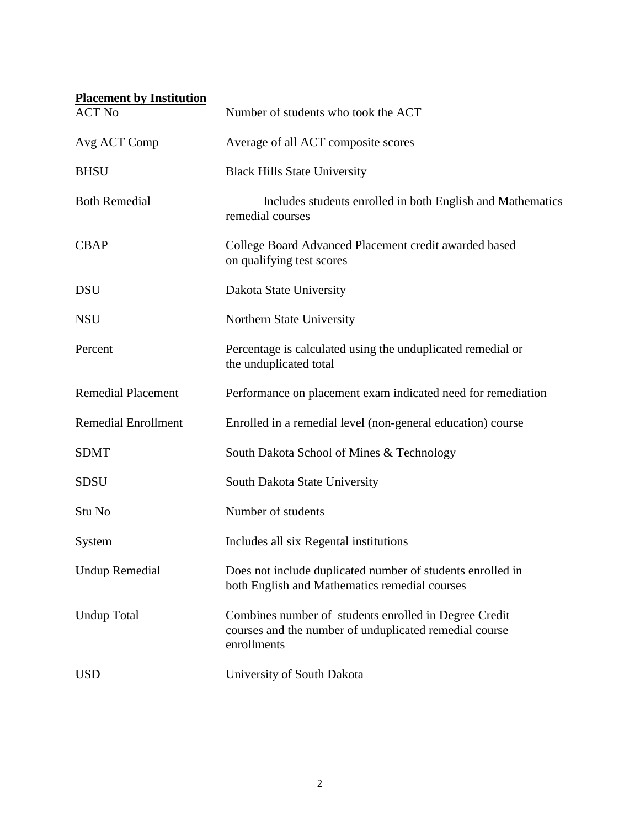| <b>Placement by Institution</b> |                                                                                                                                |
|---------------------------------|--------------------------------------------------------------------------------------------------------------------------------|
| <b>ACT No</b>                   | Number of students who took the ACT                                                                                            |
| Avg ACT Comp                    | Average of all ACT composite scores                                                                                            |
| <b>BHSU</b>                     | <b>Black Hills State University</b>                                                                                            |
| <b>Both Remedial</b>            | Includes students enrolled in both English and Mathematics<br>remedial courses                                                 |
| <b>CBAP</b>                     | College Board Advanced Placement credit awarded based<br>on qualifying test scores                                             |
| <b>DSU</b>                      | Dakota State University                                                                                                        |
| <b>NSU</b>                      | Northern State University                                                                                                      |
| Percent                         | Percentage is calculated using the unduplicated remedial or<br>the unduplicated total                                          |
| <b>Remedial Placement</b>       | Performance on placement exam indicated need for remediation                                                                   |
| <b>Remedial Enrollment</b>      | Enrolled in a remedial level (non-general education) course                                                                    |
| <b>SDMT</b>                     | South Dakota School of Mines & Technology                                                                                      |
| <b>SDSU</b>                     | South Dakota State University                                                                                                  |
| Stu No                          | Number of students                                                                                                             |
| System                          | Includes all six Regental institutions                                                                                         |
| <b>Undup Remedial</b>           | Does not include duplicated number of students enrolled in<br>both English and Mathematics remedial courses                    |
| <b>Undup Total</b>              | Combines number of students enrolled in Degree Credit<br>courses and the number of unduplicated remedial course<br>enrollments |
| <b>USD</b>                      | University of South Dakota                                                                                                     |
|                                 |                                                                                                                                |